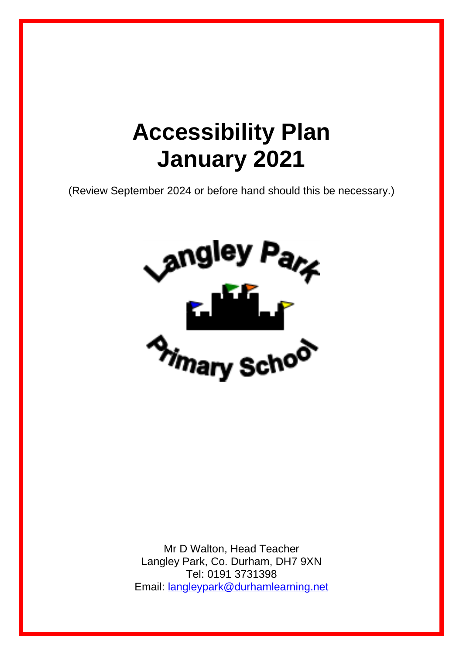# **Accessibility Plan January 2021**

(Review September 2024 or before hand should this be necessary.)



Mr D Walton, Head Teacher Langley Park, Co. Durham, DH7 9XN Tel: 0191 3731398 Email: [langleypark@durhamlearning.net](mailto:langleypark@durhamlearning.net)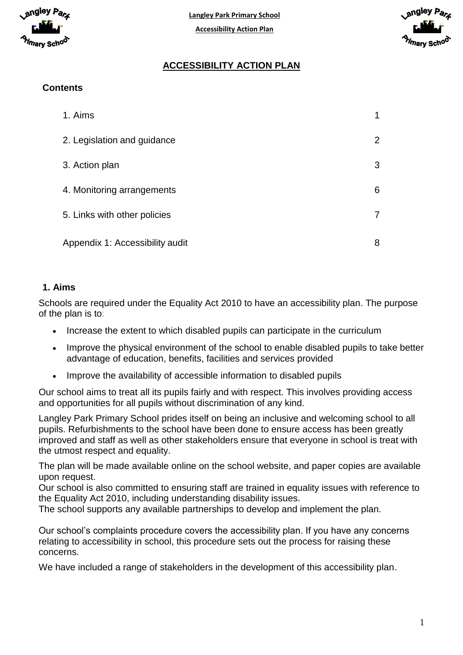



# **ACCESSIBILITY ACTION PLAN**

# **Contents**

| 1. Aims                         |                |
|---------------------------------|----------------|
| 2. Legislation and guidance     | $\overline{2}$ |
| 3. Action plan                  | 3              |
| 4. Monitoring arrangements      | 6              |
| 5. Links with other policies    |                |
| Appendix 1: Accessibility audit | 8              |

#### **1. Aims**

Schools are required under the Equality Act 2010 to have an accessibility plan. The purpose of the plan is to:

- Increase the extent to which disabled pupils can participate in the curriculum
- Improve the physical environment of the school to enable disabled pupils to take better advantage of education, benefits, facilities and services provided
- Improve the availability of accessible information to disabled pupils

Our school aims to treat all its pupils fairly and with respect. This involves providing access and opportunities for all pupils without discrimination of any kind.

Langley Park Primary School prides itself on being an inclusive and welcoming school to all pupils. Refurbishments to the school have been done to ensure access has been greatly improved and staff as well as other stakeholders ensure that everyone in school is treat with the utmost respect and equality.

The plan will be made available online on the school website, and paper copies are available upon request.

Our school is also committed to ensuring staff are trained in equality issues with reference to the Equality Act 2010, including understanding disability issues.

The school supports any available partnerships to develop and implement the plan.

Our school's complaints procedure covers the accessibility plan. If you have any concerns relating to accessibility in school, this procedure sets out the process for raising these concerns.

We have included a range of stakeholders in the development of this accessibility plan.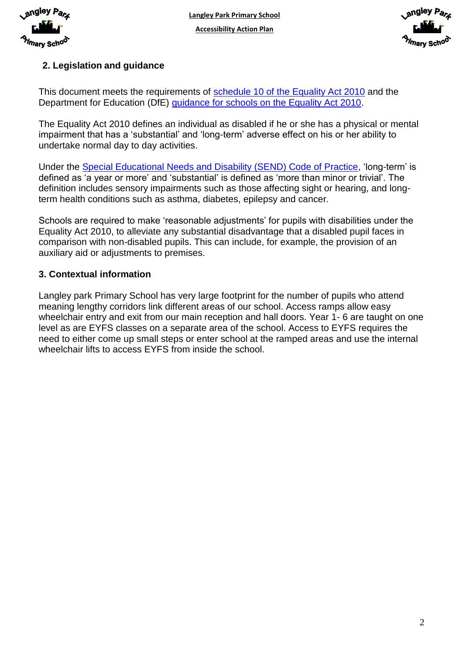

**Langley Park Primary School Accessibility Action Plan**



## **2. Legislation and guidance**

This document meets the requirements of schedule 10 of [the Equality Act 2010](http://www.legislation.gov.uk/ukpga/2010/15/schedule/10) and the Department for Education (DfE) [guidance for schools on the Equality Act 2010.](https://www.gov.uk/government/publications/equality-act-2010-advice-for-schools)

The Equality Act 2010 defines an individual as disabled if he or she has a physical or mental impairment that has a 'substantial' and 'long-term' adverse effect on his or her ability to undertake normal day to day activities.

Under the [Special Educational Needs and Disability \(SEND\) Code of Practice,](https://www.gov.uk/government/publications/send-code-of-practice-0-to-25) 'long-term' is defined as 'a year or more' and 'substantial' is defined as 'more than minor or trivial'. The definition includes sensory impairments such as those affecting sight or hearing, and longterm health conditions such as asthma, diabetes, epilepsy and cancer.

Schools are required to make 'reasonable adjustments' for pupils with disabilities under the Equality Act 2010, to alleviate any substantial disadvantage that a disabled pupil faces in comparison with non-disabled pupils. This can include, for example, the provision of an auxiliary aid or adjustments to premises.

#### **3. Contextual information**

Langley park Primary School has very large footprint for the number of pupils who attend meaning lengthy corridors link different areas of our school. Access ramps allow easy wheelchair entry and exit from our main reception and hall doors. Year 1-6 are taught on one level as are EYFS classes on a separate area of the school. Access to EYFS requires the need to either come up small steps or enter school at the ramped areas and use the internal wheelchair lifts to access EYFS from inside the school.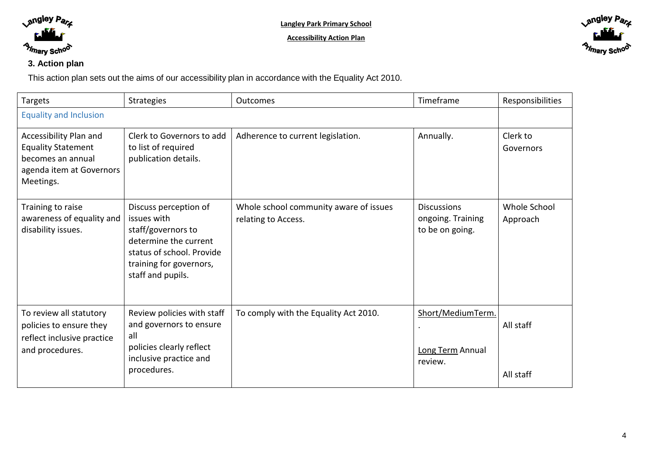

**Accessibility Action Plan**



## **3. Action plan**

This action plan sets out the aims of our accessibility plan in accordance with the Equality Act 2010.

| <b>Targets</b>                                                                                                    | <b>Strategies</b>                                                                                                                                                | <b>Outcomes</b>                                               | Timeframe                                                  | Responsibilities         |
|-------------------------------------------------------------------------------------------------------------------|------------------------------------------------------------------------------------------------------------------------------------------------------------------|---------------------------------------------------------------|------------------------------------------------------------|--------------------------|
| <b>Equality and Inclusion</b>                                                                                     |                                                                                                                                                                  |                                                               |                                                            |                          |
| Accessibility Plan and<br><b>Equality Statement</b><br>becomes an annual<br>agenda item at Governors<br>Meetings. | Clerk to Governors to add<br>to list of required<br>publication details.                                                                                         | Adherence to current legislation.                             | Annually.                                                  | Clerk to<br>Governors    |
| Training to raise<br>awareness of equality and<br>disability issues.                                              | Discuss perception of<br>issues with<br>staff/governors to<br>determine the current<br>status of school. Provide<br>training for governors,<br>staff and pupils. | Whole school community aware of issues<br>relating to Access. | <b>Discussions</b><br>ongoing. Training<br>to be on going. | Whole School<br>Approach |
| To review all statutory<br>policies to ensure they<br>reflect inclusive practice<br>and procedures.               | Review policies with staff<br>and governors to ensure<br>all<br>policies clearly reflect<br>inclusive practice and<br>procedures.                                | To comply with the Equality Act 2010.                         | Short/MediumTerm.<br>Long Term Annual<br>review.           | All staff<br>All staff   |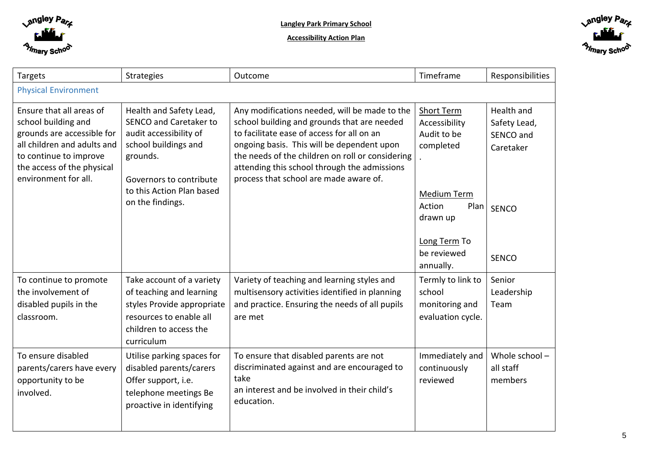

**Accessibility Action Plan**



| <b>Targets</b>                                                                                                                                                                               | Strategies                                                                                                                                             | Timeframe<br>Outcome                                                                                                                                                                                                                                                                                                                   |                                                                                       | Responsibilities                                     |  |
|----------------------------------------------------------------------------------------------------------------------------------------------------------------------------------------------|--------------------------------------------------------------------------------------------------------------------------------------------------------|----------------------------------------------------------------------------------------------------------------------------------------------------------------------------------------------------------------------------------------------------------------------------------------------------------------------------------------|---------------------------------------------------------------------------------------|------------------------------------------------------|--|
| <b>Physical Environment</b>                                                                                                                                                                  |                                                                                                                                                        |                                                                                                                                                                                                                                                                                                                                        |                                                                                       |                                                      |  |
| Ensure that all areas of<br>school building and<br>grounds are accessible for<br>all children and adults and<br>to continue to improve<br>the access of the physical<br>environment for all. | Health and Safety Lead,<br>SENCO and Caretaker to<br>audit accessibility of<br>school buildings and<br>grounds.<br>Governors to contribute             | Any modifications needed, will be made to the<br>school building and grounds that are needed<br>to facilitate ease of access for all on an<br>ongoing basis. This will be dependent upon<br>the needs of the children on roll or considering<br>attending this school through the admissions<br>process that school are made aware of. | <b>Short Term</b><br>Accessibility<br>Audit to be<br>completed                        | Health and<br>Safety Lead,<br>SENCO and<br>Caretaker |  |
|                                                                                                                                                                                              | to this Action Plan based<br>on the findings.                                                                                                          |                                                                                                                                                                                                                                                                                                                                        | Medium Term<br>Action<br>Plan<br>drawn up<br>Long Term To<br>be reviewed<br>annually. | <b>SENCO</b><br><b>SENCO</b>                         |  |
| To continue to promote<br>the involvement of<br>disabled pupils in the<br>classroom.                                                                                                         | Take account of a variety<br>of teaching and learning<br>styles Provide appropriate<br>resources to enable all<br>children to access the<br>curriculum | Variety of teaching and learning styles and<br>multisensory activities identified in planning<br>and practice. Ensuring the needs of all pupils<br>are met                                                                                                                                                                             | Termly to link to<br>school<br>monitoring and<br>evaluation cycle.                    | Senior<br>Leadership<br>Team                         |  |
| To ensure disabled<br>parents/carers have every<br>opportunity to be<br>involved.                                                                                                            | Utilise parking spaces for<br>disabled parents/carers<br>Offer support, i.e.<br>telephone meetings Be<br>proactive in identifying                      | To ensure that disabled parents are not<br>discriminated against and are encouraged to<br>take<br>an interest and be involved in their child's<br>education.                                                                                                                                                                           | Immediately and<br>continuously<br>reviewed                                           | Whole school-<br>all staff<br>members                |  |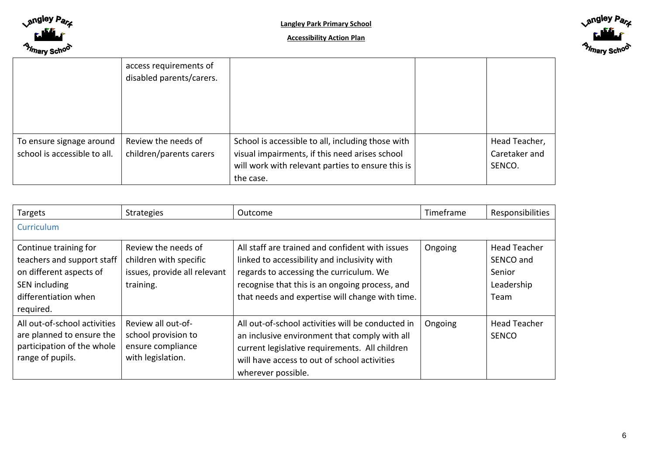



|                                                          | access requirements of<br>disabled parents/carers. |                                                                                                                                                                       |                                          |
|----------------------------------------------------------|----------------------------------------------------|-----------------------------------------------------------------------------------------------------------------------------------------------------------------------|------------------------------------------|
|                                                          |                                                    |                                                                                                                                                                       |                                          |
| To ensure signage around<br>school is accessible to all. | Review the needs of<br>children/parents carers     | School is accessible to all, including those with<br>visual impairments, if this need arises school<br>will work with relevant parties to ensure this is<br>the case. | Head Teacher,<br>Caretaker and<br>SENCO. |

| <b>Targets</b>                                                                                                                       | <b>Strategies</b>                                                                          | Outcome                                                                                                                                                                                                                                         | Timeframe | Responsibilities                                                 |
|--------------------------------------------------------------------------------------------------------------------------------------|--------------------------------------------------------------------------------------------|-------------------------------------------------------------------------------------------------------------------------------------------------------------------------------------------------------------------------------------------------|-----------|------------------------------------------------------------------|
| Curriculum                                                                                                                           |                                                                                            |                                                                                                                                                                                                                                                 |           |                                                                  |
| Continue training for<br>teachers and support staff<br>on different aspects of<br>SEN including<br>differentiation when<br>required. | Review the needs of<br>children with specific<br>issues, provide all relevant<br>training. | All staff are trained and confident with issues<br>linked to accessibility and inclusivity with<br>regards to accessing the curriculum. We<br>recognise that this is an ongoing process, and<br>that needs and expertise will change with time. | Ongoing   | <b>Head Teacher</b><br>SENCO and<br>Senior<br>Leadership<br>Team |
| All out-of-school activities<br>are planned to ensure the<br>participation of the whole<br>range of pupils.                          | Review all out-of-<br>school provision to<br>ensure compliance<br>with legislation.        | All out-of-school activities will be conducted in<br>an inclusive environment that comply with all<br>current legislative requirements. All children<br>will have access to out of school activities<br>wherever possible.                      | Ongoing   | <b>Head Teacher</b><br><b>SENCO</b>                              |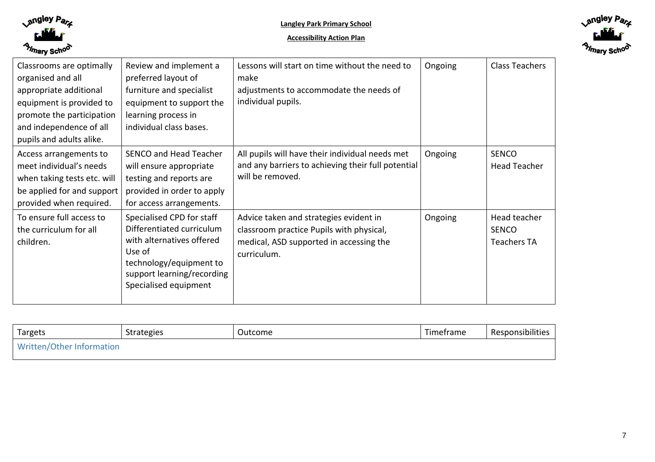



| Classrooms are optimally<br>organised and all<br>appropriate additional<br>equipment is provided to<br>promote the participation<br>and independence of all<br>pupils and adults alike. | Review and implement a<br>preferred layout of<br>furniture and specialist<br>equipment to support the<br>learning process in<br>individual class bases.                         | Lessons will start on time without the need to<br>make<br>adjustments to accommodate the needs of<br>individual pupils.                      | Ongoing | Class Teachers                                     |
|-----------------------------------------------------------------------------------------------------------------------------------------------------------------------------------------|---------------------------------------------------------------------------------------------------------------------------------------------------------------------------------|----------------------------------------------------------------------------------------------------------------------------------------------|---------|----------------------------------------------------|
| Access arrangements to<br>meet individual's needs<br>when taking tests etc. will<br>be applied for and support<br>provided when required.                                               | <b>SENCO and Head Teacher</b><br>will ensure appropriate<br>testing and reports are<br>provided in order to apply<br>for access arrangements.                                   | All pupils will have their individual needs met<br>and any barriers to achieving their full potential<br>will be removed.                    | Ongoing | <b>SENCO</b><br><b>Head Teacher</b>                |
| To ensure full access to<br>the curriculum for all<br>children.                                                                                                                         | Specialised CPD for staff<br>Differentiated curriculum<br>with alternatives offered<br>Use of<br>technology/equipment to<br>support learning/recording<br>Specialised equipment | Advice taken and strategies evident in<br>classroom practice Pupils with physical,<br>medical, ASD supported in accessing the<br>curriculum. | Ongoing | Head teacher<br><b>SENCO</b><br><b>Teachers TA</b> |

| Targets                   | Strategies | Outcome | Timetrame | Responsibilities |
|---------------------------|------------|---------|-----------|------------------|
| Written/Other Information |            |         |           |                  |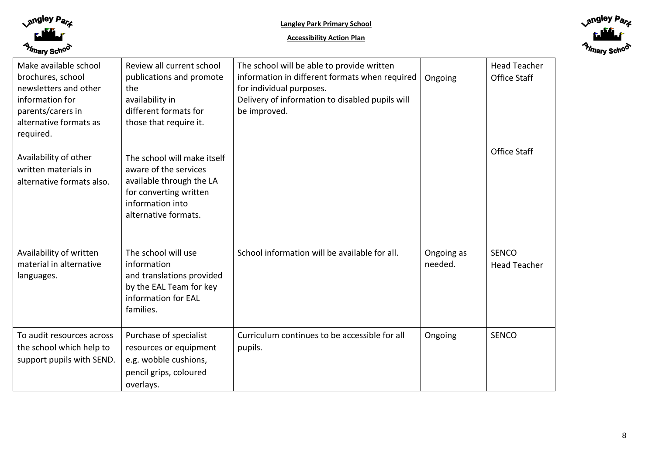



| Make available school<br>brochures, school<br>newsletters and other<br>information for<br>parents/carers in<br>alternative formats as<br>required. | Review all current school<br>publications and promote<br>the<br>availability in<br>different formats for<br>those that require it.                     | The school will be able to provide written<br>information in different formats when required<br>for individual purposes.<br>Delivery of information to disabled pupils will<br>be improved. | Ongoing               | <b>Head Teacher</b><br>Office Staff |
|----------------------------------------------------------------------------------------------------------------------------------------------------|--------------------------------------------------------------------------------------------------------------------------------------------------------|---------------------------------------------------------------------------------------------------------------------------------------------------------------------------------------------|-----------------------|-------------------------------------|
| Availability of other<br>written materials in<br>alternative formats also.                                                                         | The school will make itself<br>aware of the services<br>available through the LA<br>for converting written<br>information into<br>alternative formats. |                                                                                                                                                                                             |                       | Office Staff                        |
| Availability of written<br>material in alternative<br>languages.                                                                                   | The school will use<br>information<br>and translations provided<br>by the EAL Team for key<br>information for EAL<br>families.                         | School information will be available for all.                                                                                                                                               | Ongoing as<br>needed. | <b>SENCO</b><br><b>Head Teacher</b> |
| To audit resources across<br>the school which help to<br>support pupils with SEND.                                                                 | Purchase of specialist<br>resources or equipment<br>e.g. wobble cushions,<br>pencil grips, coloured<br>overlays.                                       | Curriculum continues to be accessible for all<br>pupils.                                                                                                                                    | Ongoing               | <b>SENCO</b>                        |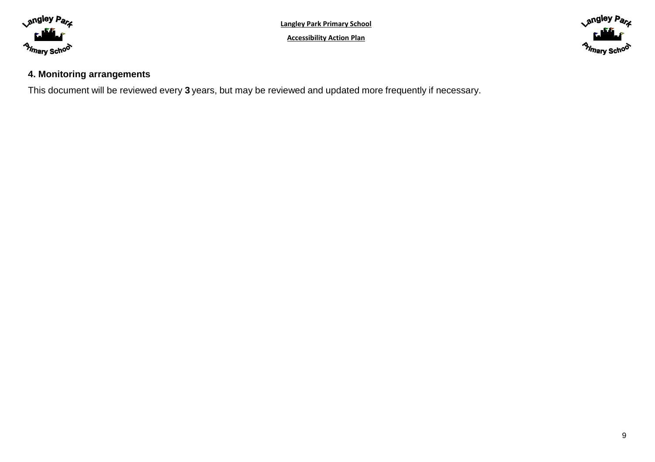

**Accessibility Action Plan**



# **4. Monitoring arrangements**

This document will be reviewed every **3** years, but may be reviewed and updated more frequently if necessary.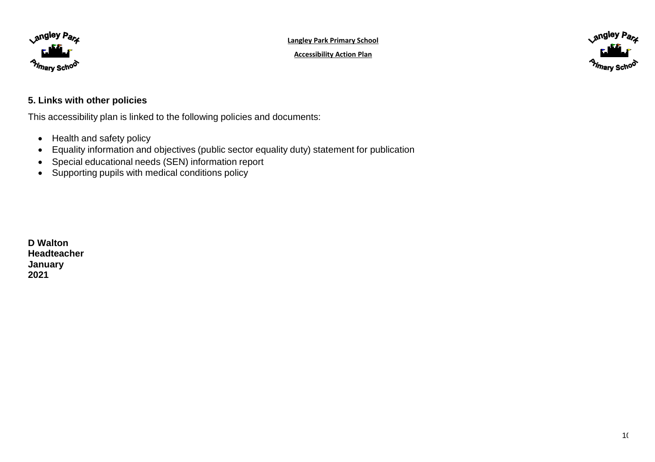





#### **5. Links with other policies**

This accessibility plan is linked to the following policies and documents:

- Health and safety policy
- Equality information and objectives (public sector equality duty) statement for publication
- Special educational needs (SEN) information report
- Supporting pupils with medical conditions policy

**D Walton Headteacher January 2021**